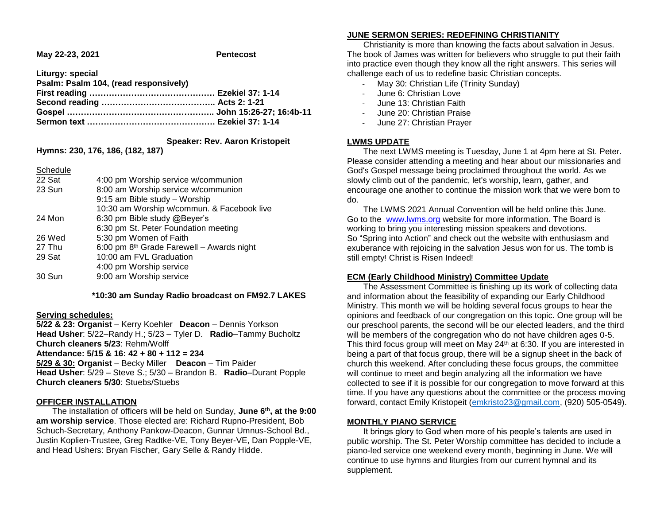**May 22-23, 2021 Pentecost**

**Liturgy: special**

| Psalm: Psalm 104, (read responsively) |  |
|---------------------------------------|--|
|                                       |  |
|                                       |  |
|                                       |  |
|                                       |  |

 **Speaker: Rev. Aaron Kristopeit**

**Hymns: 230, 176, 186, (182, 187)**

**Schedule** 

| 22 Sat | 4:00 pm Worship service w/communion                   |
|--------|-------------------------------------------------------|
| 23 Sun | 8:00 am Worship service w/communion                   |
|        | 9:15 am Bible study - Worship                         |
|        | 10:30 am Worship w/commun. & Facebook live            |
| 24 Mon | 6:30 pm Bible study @Beyer's                          |
|        | 6:30 pm St. Peter Foundation meeting                  |
| 26 Wed | 5:30 pm Women of Faith                                |
| 27 Thu | 6:00 pm 8 <sup>th</sup> Grade Farewell - Awards night |
| 29 Sat | 10:00 am FVL Graduation                               |
|        | 4:00 pm Worship service                               |
| 30 Sun | 9:00 am Worship service                               |
|        |                                                       |

 **\*10:30 am Sunday Radio broadcast on FM92.7 LAKES**

#### **Serving schedules:**

**5/22 & 23: Organist** – Kerry Koehler **Deacon** – Dennis Yorkson **Head Usher**: 5/22–Randy H.; 5/23 – Tyler D. **Radio**–Tammy Bucholtz **Church cleaners 5/23**: Rehm/Wolff **Attendance: 5/15 & 16: 42 + 80 + 112 = 234**

**5/29 & 30: Organist** – Becky Miller **Deacon** – Tim Paider

**Head Usher**: 5/29 – Steve S.; 5/30 – Brandon B. **Radio**–Durant Popple **Church cleaners 5/30**: Stuebs/Stuebs

#### **OFFICER INSTALLATION**

 The installation of officers will be held on Sunday, **June 6th, at the 9:00 am worship service**. Those elected are: Richard Rupno-President, Bob Schuch-Secretary, Anthony Pankow-Deacon, Gunnar Umnus-School Bd., Justin Koplien-Trustee, Greg Radtke-VE, Tony Beyer-VE, Dan Popple-VE, and Head Ushers: Bryan Fischer, Gary Selle & Randy Hidde.

## **JUNE SERMON SERIES: REDEFINING CHRISTIANITY**

 Christianity is more than knowing the facts about salvation in Jesus. The book of James was written for believers who struggle to put their faith into practice even though they know all the right answers. This series will challenge each of us to redefine basic Christian concepts.

- May 30: Christian Life (Trinity Sunday)
- June 6: Christian Love
- June 13: Christian Faith
- June 20: Christian Praise
- June 27: Christian Prayer

## **LWMS UPDATE**

 The next LWMS meeting is Tuesday, June 1 at 4pm here at St. Peter. Please consider attending a meeting and hear about our missionaries and God's Gospel message being proclaimed throughout the world. As we slowly climb out of the pandemic, let's worship, learn, gather, and encourage one another to continue the mission work that we were born to do.

 The LWMS 2021 Annual Convention will be held online this June. Go to the [www.lwms.org](https://linkprotect.cudasvc.com/url?a=https%3a%2f%2fwww.lwms.org&c=E,1,RbDPDMvv0PIyoeWp9K76FVw4VLZiHa77y76IHHGXiB1jL1keXC-kUEdRYEAcONkwG_iAT4LoIc2ns7zCkbuPYd9-6QI246CWdx9jl7s-KpMpudk,&typo=1&ancr_add=1) website for more information. The Board is working to bring you interesting mission speakers and devotions. So "Spring into Action" and check out the website with enthusiasm and exuberance with rejoicing in the salvation Jesus won for us. The tomb is still empty! Christ is Risen Indeed!

# **ECM (Early Childhood Ministry) Committee Update**

 The Assessment Committee is finishing up its work of collecting data and information about the feasibility of expanding our Early Childhood Ministry. This month we will be holding several focus groups to hear the opinions and feedback of our congregation on this topic. One group will be our preschool parents, the second will be our elected leaders, and the third will be members of the congregation who do not have children ages 0-5. This third focus group will meet on May 24<sup>th</sup> at 6:30. If you are interested in being a part of that focus group, there will be a signup sheet in the back of church this weekend. After concluding these focus groups, the committee will continue to meet and begin analyzing all the information we have collected to see if it is possible for our congregation to move forward at this time. If you have any questions about the committee or the process moving forward, contact Emily Kristopeit [\(emkristo23@gmail.com,](mailto:emkristo23@gmail.com) (920) 505-0549).

# **MONTHLY PIANO SERVICE**

 It brings glory to God when more of his people's talents are used in public worship. The St. Peter Worship committee has decided to include a piano-led service one weekend every month, beginning in June. We will continue to use hymns and liturgies from our current hymnal and its supplement.